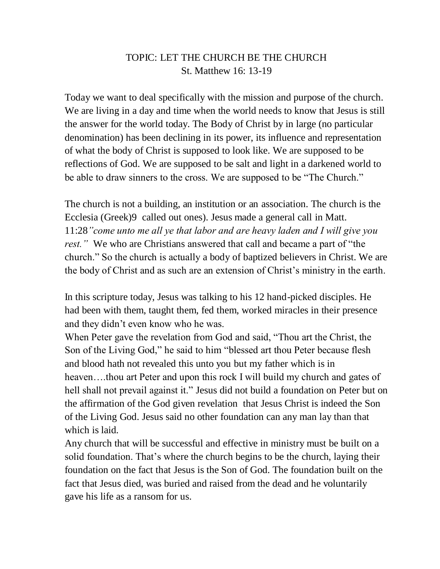## TOPIC: LET THE CHURCH BE THE CHURCH St. Matthew 16: 13-19

Today we want to deal specifically with the mission and purpose of the church. We are living in a day and time when the world needs to know that Jesus is still the answer for the world today. The Body of Christ by in large (no particular denomination) has been declining in its power, its influence and representation of what the body of Christ is supposed to look like. We are supposed to be reflections of God. We are supposed to be salt and light in a darkened world to be able to draw sinners to the cross. We are supposed to be "The Church."

The church is not a building, an institution or an association. The church is the Ecclesia (Greek)9 called out ones). Jesus made a general call in Matt. 11:28*"come unto me all ye that labor and are heavy laden and I will give you rest."* We who are Christians answered that call and became a part of "the church." So the church is actually a body of baptized believers in Christ. We are the body of Christ and as such are an extension of Christ's ministry in the earth.

In this scripture today, Jesus was talking to his 12 hand-picked disciples. He had been with them, taught them, fed them, worked miracles in their presence and they didn't even know who he was.

When Peter gave the revelation from God and said, "Thou art the Christ, the Son of the Living God," he said to him "blessed art thou Peter because flesh and blood hath not revealed this unto you but my father which is in heaven….thou art Peter and upon this rock I will build my church and gates of hell shall not prevail against it." Jesus did not build a foundation on Peter but on the affirmation of the God given revelation that Jesus Christ is indeed the Son of the Living God. Jesus said no other foundation can any man lay than that which is laid.

Any church that will be successful and effective in ministry must be built on a solid foundation. That's where the church begins to be the church, laying their foundation on the fact that Jesus is the Son of God. The foundation built on the fact that Jesus died, was buried and raised from the dead and he voluntarily gave his life as a ransom for us.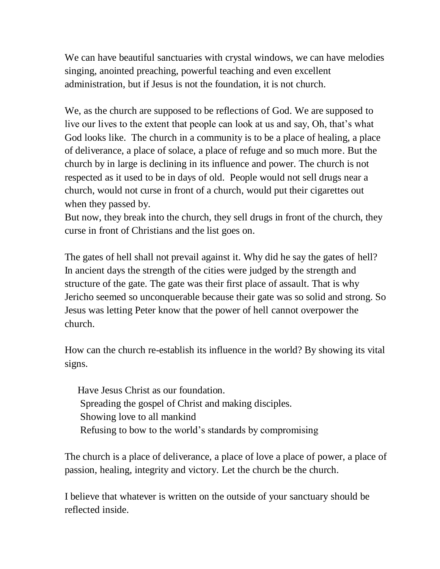We can have beautiful sanctuaries with crystal windows, we can have melodies singing, anointed preaching, powerful teaching and even excellent administration, but if Jesus is not the foundation, it is not church.

We, as the church are supposed to be reflections of God. We are supposed to live our lives to the extent that people can look at us and say, Oh, that's what God looks like. The church in a community is to be a place of healing, a place of deliverance, a place of solace, a place of refuge and so much more. But the church by in large is declining in its influence and power. The church is not respected as it used to be in days of old. People would not sell drugs near a church, would not curse in front of a church, would put their cigarettes out when they passed by.

But now, they break into the church, they sell drugs in front of the church, they curse in front of Christians and the list goes on.

The gates of hell shall not prevail against it. Why did he say the gates of hell? In ancient days the strength of the cities were judged by the strength and structure of the gate. The gate was their first place of assault. That is why Jericho seemed so unconquerable because their gate was so solid and strong. So Jesus was letting Peter know that the power of hell cannot overpower the church.

How can the church re-establish its influence in the world? By showing its vital signs.

Have Jesus Christ as our foundation. Spreading the gospel of Christ and making disciples. Showing love to all mankind Refusing to bow to the world's standards by compromising

The church is a place of deliverance, a place of love a place of power, a place of passion, healing, integrity and victory. Let the church be the church.

I believe that whatever is written on the outside of your sanctuary should be reflected inside.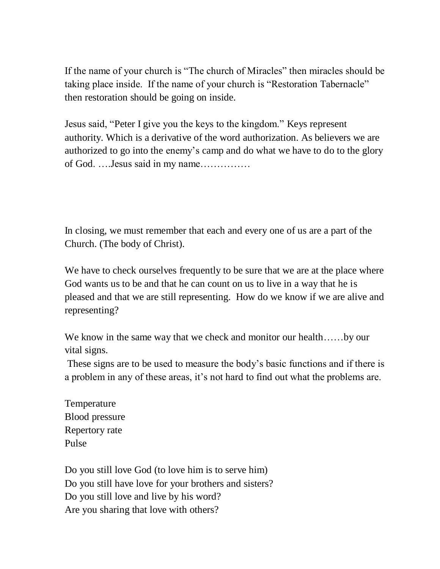If the name of your church is "The church of Miracles" then miracles should be taking place inside. If the name of your church is "Restoration Tabernacle" then restoration should be going on inside.

Jesus said, "Peter I give you the keys to the kingdom." Keys represent authority. Which is a derivative of the word authorization. As believers we are authorized to go into the enemy's camp and do what we have to do to the glory of God. ….Jesus said in my name……………

In closing, we must remember that each and every one of us are a part of the Church. (The body of Christ).

We have to check ourselves frequently to be sure that we are at the place where God wants us to be and that he can count on us to live in a way that he is pleased and that we are still representing. How do we know if we are alive and representing?

We know in the same way that we check and monitor our health……by our vital signs.

These signs are to be used to measure the body's basic functions and if there is a problem in any of these areas, it's not hard to find out what the problems are.

Temperature Blood pressure Repertory rate Pulse

Do you still love God (to love him is to serve him) Do you still have love for your brothers and sisters? Do you still love and live by his word? Are you sharing that love with others?